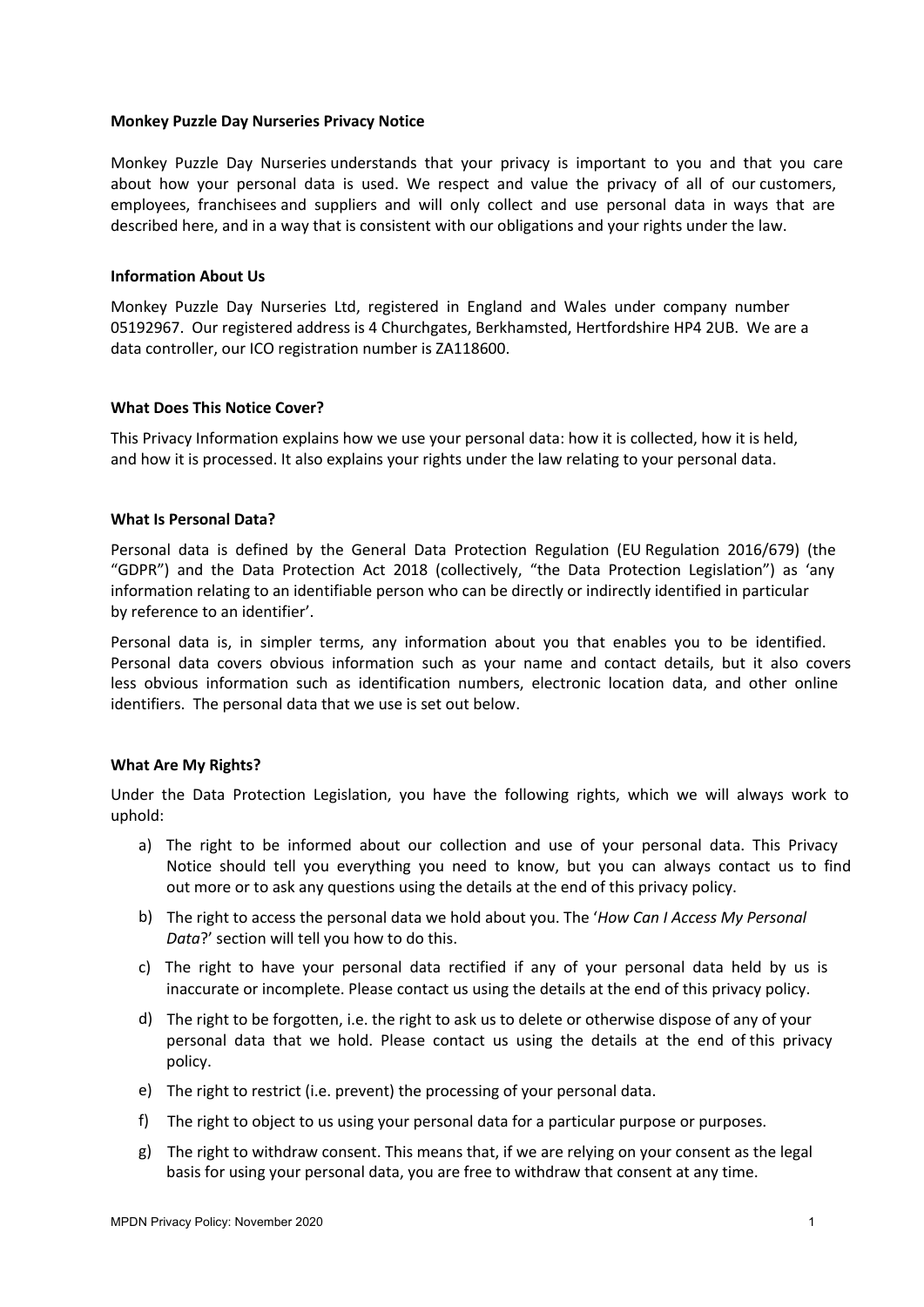### **Monkey Puzzle Day Nurseries Privacy Notice**

Monkey Puzzle Day Nurseries understands that your privacy is important to you and that you care about how your personal data is used. We respect and value the privacy of all of our customers, employees, franchisees and suppliers and will only collect and use personal data in ways that are described here, and in a way that is consistent with our obligations and your rights under the law.

## **Information About Us**

Monkey Puzzle Day Nurseries Ltd, registered in England and Wales under company number 05192967. Our registered address is 4 Churchgates, Berkhamsted, Hertfordshire HP4 2UB. We are a data controller, our ICO registration number is ZA118600.

## **What Does This Notice Cover?**

This Privacy Information explains how we use your personal data: how it is collected, how it is held, and how it is processed. It also explains your rights under the law relating to your personal data.

## **What Is Personal Data?**

Personal data is defined by the General Data Protection Regulation (EU Regulation 2016/679) (the "GDPR") and the Data Protection Act 2018 (collectively, "the Data Protection Legislation") as 'any information relating to an identifiable person who can be directly or indirectly identified in particular by reference to an identifier'.

Personal data is, in simpler terms, any information about you that enables you to be identified. Personal data covers obvious information such as your name and contact details, but it also covers less obvious information such as identification numbers, electronic location data, and other online identifiers. The personal data that we use is set out below.

# **What Are My Rights?**

Under the Data Protection Legislation, you have the following rights, which we will always work to uphold:

- a) The right to be informed about our collection and use of your personal data. This Privacy Notice should tell you everything you need to know, but you can always contact us to find out more or to ask any questions using the details at the end of this privacy policy.
- b) The right to access the personal data we hold about you. The '*How Can I Access My Personal Data*?' section will tell you how to do this.
- c) The right to have your personal data rectified if any of your personal data held by us is inaccurate or incomplete. Please contact us using the details at the end of this privacy policy.
- d) The right to be forgotten, i.e. the right to ask us to delete or otherwise dispose of any of your personal data that we hold. Please contact us using the details at the end of this privacy policy.
- e) The right to restrict (i.e. prevent) the processing of your personal data.
- f) The right to object to us using your personal data for a particular purpose or purposes.
- g) The right to withdraw consent. This means that, if we are relying on your consent as the legal basis for using your personal data, you are free to withdraw that consent at any time.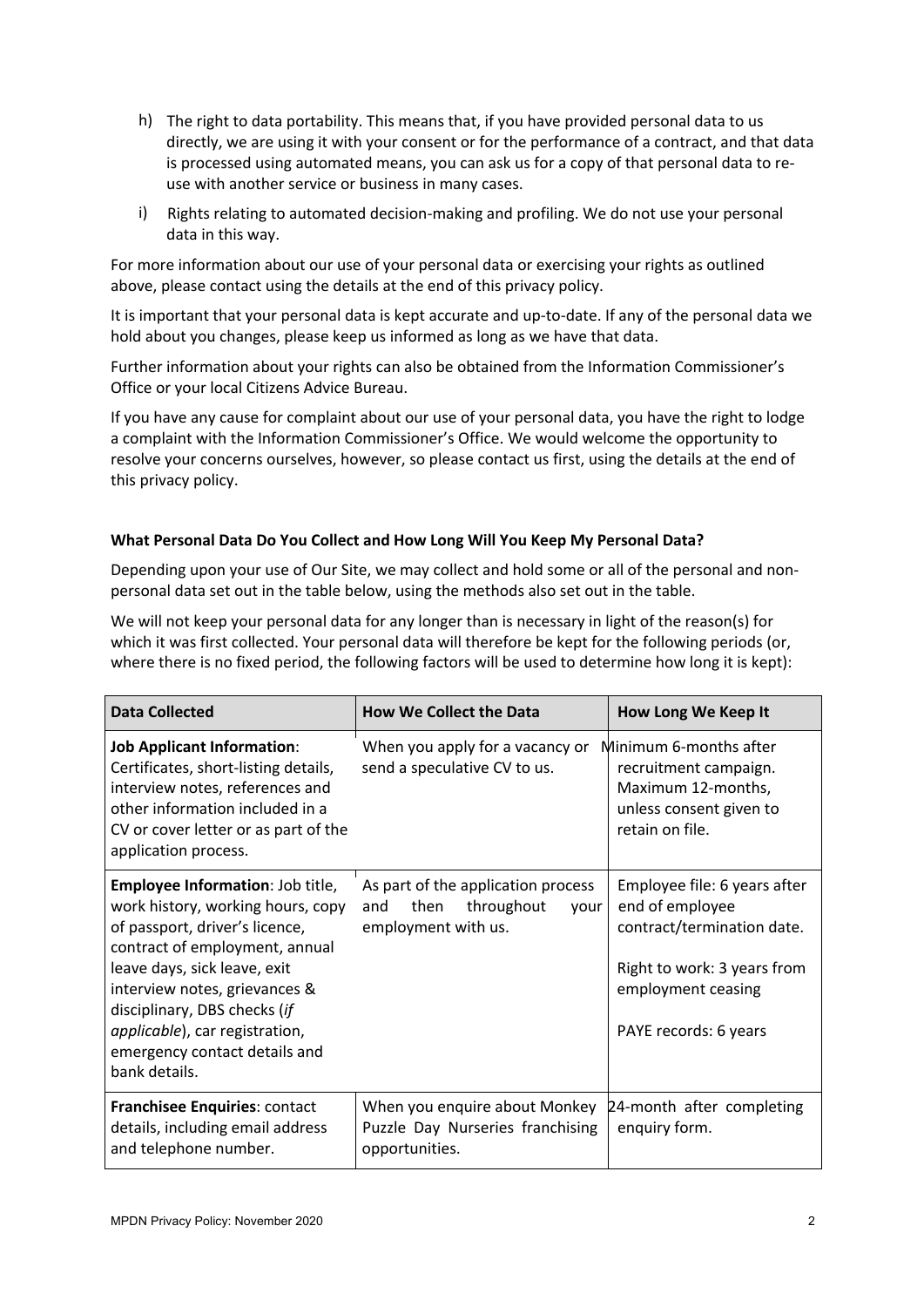- h) The right to data portability. This means that, if you have provided personal data to us directly, we are using it with your consent or for the performance of a contract, and that data is processed using automated means, you can ask us for a copy of that personal data to reuse with another service or business in many cases.
- i) Rights relating to automated decision-making and profiling. We do not use your personal data in this way.

For more information about our use of your personal data or exercising your rights as outlined above, please contact using the details at the end of this privacy policy.

It is important that your personal data is kept accurate and up-to-date. If any of the personal data we hold about you changes, please keep us informed as long as we have that data.

Further information about your rights can also be obtained from the Information Commissioner's Office or your local Citizens Advice Bureau.

If you have any cause for complaint about our use of your personal data, you have the right to lodge a complaint with the Information Commissioner's Office. We would welcome the opportunity to resolve your concerns ourselves, however, so please contact us first, using the details at the end of this privacy policy.

# **What Personal Data Do You Collect and How Long Will You Keep My Personal Data?**

Depending upon your use of Our Site, we may collect and hold some or all of the personal and nonpersonal data set out in the table below, using the methods also set out in the table.

We will not keep your personal data for any longer than is necessary in light of the reason(s) for which it was first collected. Your personal data will therefore be kept for the following periods (or, where there is no fixed period, the following factors will be used to determine how long it is kept):

| <b>Data Collected</b>                                                                                                                                                                                                                                                                                                          | <b>How We Collect the Data</b>                                                                 | How Long We Keep It                                                                                                                                         |
|--------------------------------------------------------------------------------------------------------------------------------------------------------------------------------------------------------------------------------------------------------------------------------------------------------------------------------|------------------------------------------------------------------------------------------------|-------------------------------------------------------------------------------------------------------------------------------------------------------------|
| <b>Job Applicant Information:</b><br>Certificates, short-listing details,<br>interview notes, references and<br>other information included in a<br>CV or cover letter or as part of the<br>application process.                                                                                                                | When you apply for a vacancy or<br>send a speculative CV to us.                                | Minimum 6-months after<br>recruitment campaign.<br>Maximum 12-months,<br>unless consent given to<br>retain on file.                                         |
| Employee Information: Job title,<br>work history, working hours, copy<br>of passport, driver's licence,<br>contract of employment, annual<br>leave days, sick leave, exit<br>interview notes, grievances &<br>disciplinary, DBS checks (if<br>applicable), car registration,<br>emergency contact details and<br>bank details. | As part of the application process<br>then<br>throughout<br>and<br>your<br>employment with us. | Employee file: 6 years after<br>end of employee<br>contract/termination date.<br>Right to work: 3 years from<br>employment ceasing<br>PAYE records: 6 years |
| Franchisee Enquiries: contact<br>details, including email address<br>and telephone number.                                                                                                                                                                                                                                     | When you enquire about Monkey<br>Puzzle Day Nurseries franchising<br>opportunities.            | 24-month after completing<br>enquiry form.                                                                                                                  |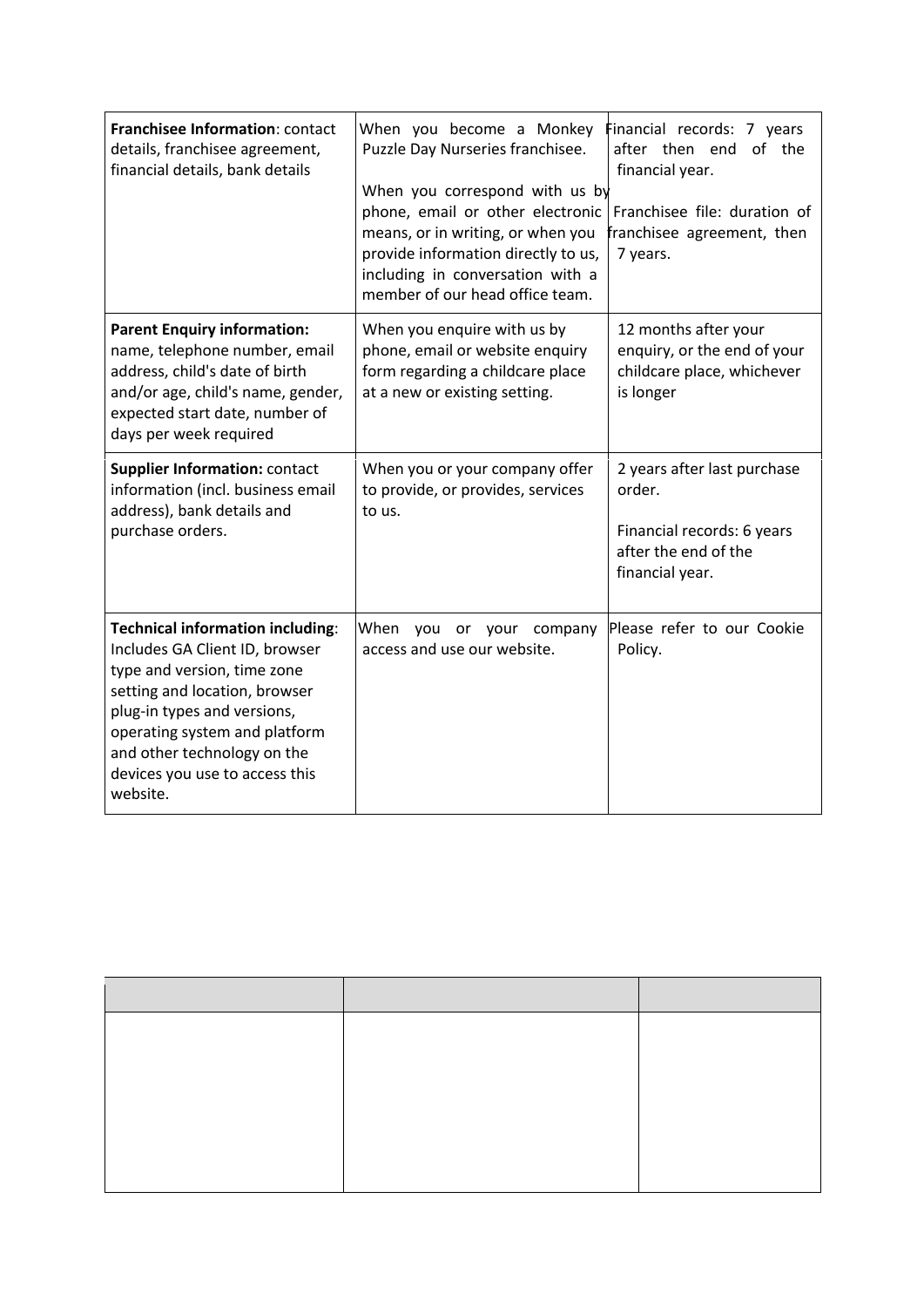| Franchisee Information: contact<br>details, franchisee agreement,<br>financial details, bank details                                                                                                                                                                                   | When you become a Monkey<br>Puzzle Day Nurseries franchisee.<br>When you correspond with us by<br>phone, email or other electronic<br>means, or in writing, or when you<br>provide information directly to us,<br>including in conversation with a<br>member of our head office team. | Financial records: 7 years<br>after then end<br>of the<br>financial year.<br>Franchisee file: duration of<br>franchisee agreement, then<br>7 years. |
|----------------------------------------------------------------------------------------------------------------------------------------------------------------------------------------------------------------------------------------------------------------------------------------|---------------------------------------------------------------------------------------------------------------------------------------------------------------------------------------------------------------------------------------------------------------------------------------|-----------------------------------------------------------------------------------------------------------------------------------------------------|
| <b>Parent Enquiry information:</b><br>name, telephone number, email<br>address, child's date of birth<br>and/or age, child's name, gender,<br>expected start date, number of<br>days per week required                                                                                 | When you enquire with us by<br>phone, email or website enquiry<br>form regarding a childcare place<br>at a new or existing setting.                                                                                                                                                   | 12 months after your<br>enquiry, or the end of your<br>childcare place, whichever<br>is longer                                                      |
| <b>Supplier Information: contact</b><br>information (incl. business email<br>address), bank details and<br>purchase orders.                                                                                                                                                            | When you or your company offer<br>to provide, or provides, services<br>to us.                                                                                                                                                                                                         | 2 years after last purchase<br>order.<br>Financial records: 6 years<br>after the end of the<br>financial year.                                      |
| <b>Technical information including:</b><br>Includes GA Client ID, browser<br>type and version, time zone<br>setting and location, browser<br>plug-in types and versions,<br>operating system and platform<br>and other technology on the<br>devices you use to access this<br>website. | When you or your company<br>access and use our website.                                                                                                                                                                                                                               | Please refer to our Cookie<br>Policy.                                                                                                               |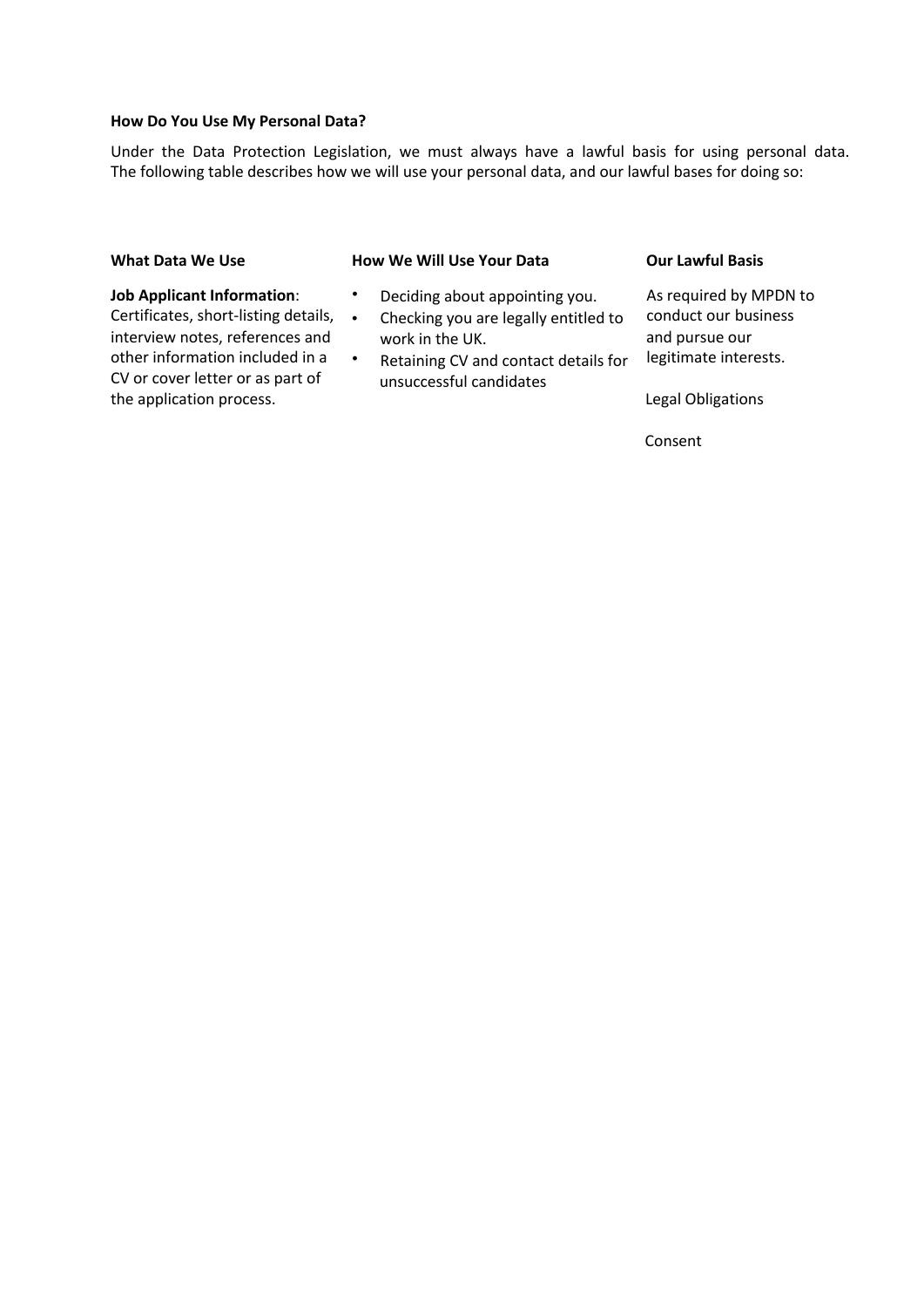## **How Do You Use My Personal Data?**

Under the Data Protection Legislation, we must always have a lawful basis for using personal data. The following table describes how we will use your personal data, and our lawful bases for doing so:

### **What Data We Use How We Will Use Your Data Our Lawful Basis**

interview notes, references and work in the UK. CV or cover letter or as part of unsuccessful candidates the application process. The application process.

- **Job Applicant Information:** Deciding about appointing you. As required by MPDN to
- Certificates, short-listing details, Checking you are legally entitled to conduct our business<br>interview notes, references and work in the UK. and pursue our
- other information included in a Retaining CV and contact details for legitimate interests.

Consent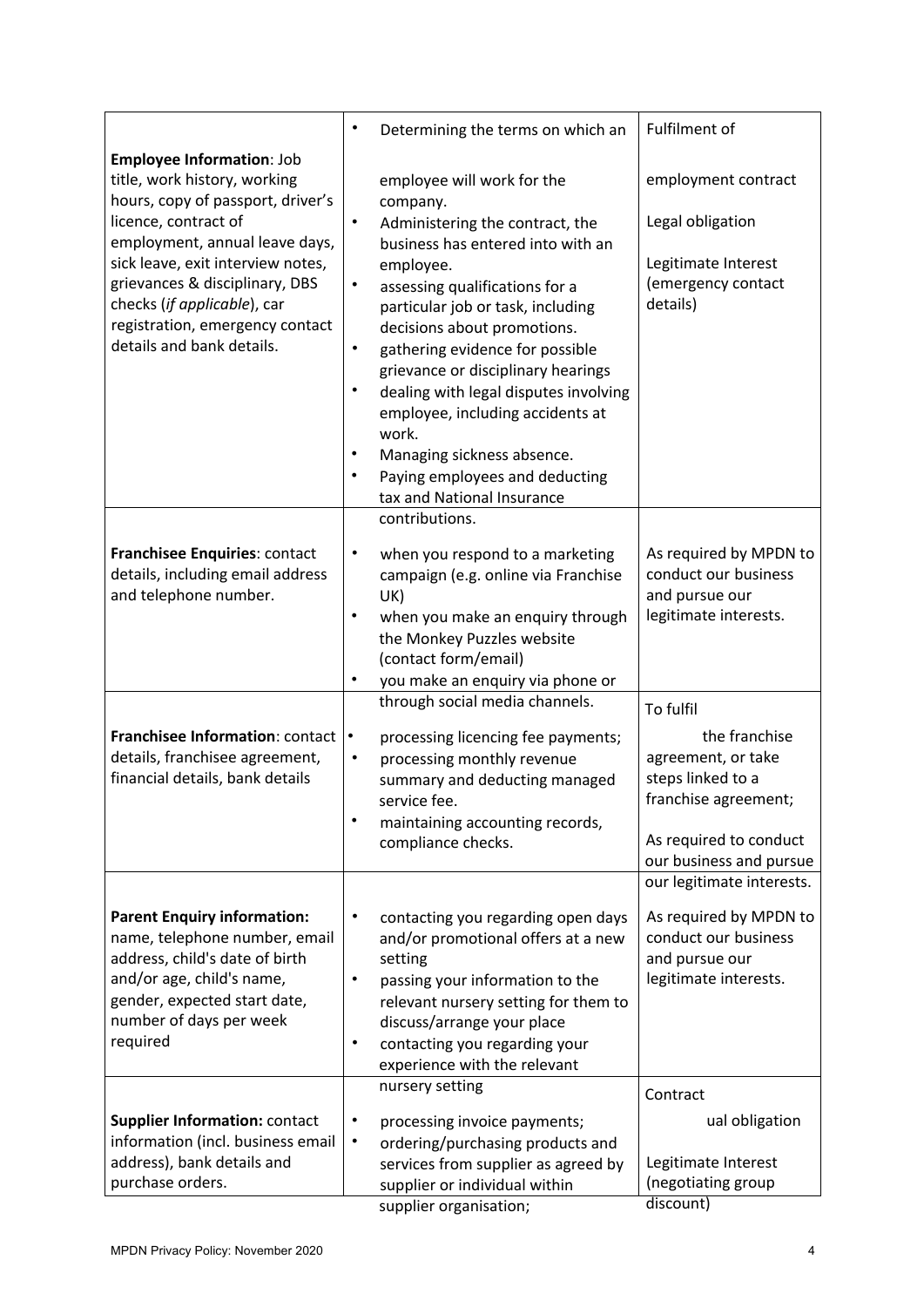|                                                                                                                                                                                                                                                                                                                                       | $\bullet$<br>Determining the terms on which an                                                                                                                                                                                                                                                                                                                                                                                                                                                                                                                               | Fulfilment of                                                                                                                         |
|---------------------------------------------------------------------------------------------------------------------------------------------------------------------------------------------------------------------------------------------------------------------------------------------------------------------------------------|------------------------------------------------------------------------------------------------------------------------------------------------------------------------------------------------------------------------------------------------------------------------------------------------------------------------------------------------------------------------------------------------------------------------------------------------------------------------------------------------------------------------------------------------------------------------------|---------------------------------------------------------------------------------------------------------------------------------------|
| <b>Employee Information: Job</b><br>title, work history, working<br>hours, copy of passport, driver's<br>licence, contract of<br>employment, annual leave days,<br>sick leave, exit interview notes,<br>grievances & disciplinary, DBS<br>checks (if applicable), car<br>registration, emergency contact<br>details and bank details. | employee will work for the<br>company.<br>Administering the contract, the<br>$\bullet$<br>business has entered into with an<br>employee.<br>$\bullet$<br>assessing qualifications for a<br>particular job or task, including<br>decisions about promotions.<br>gathering evidence for possible<br>$\bullet$<br>grievance or disciplinary hearings<br>dealing with legal disputes involving<br>$\bullet$<br>employee, including accidents at<br>work.<br>Managing sickness absence.<br>$\bullet$<br>Paying employees and deducting<br>$\bullet$<br>tax and National Insurance | employment contract<br>Legal obligation<br>Legitimate Interest<br>(emergency contact<br>details)                                      |
|                                                                                                                                                                                                                                                                                                                                       | contributions.                                                                                                                                                                                                                                                                                                                                                                                                                                                                                                                                                               |                                                                                                                                       |
| Franchisee Enquiries: contact<br>details, including email address<br>and telephone number.                                                                                                                                                                                                                                            | $\bullet$<br>when you respond to a marketing<br>campaign (e.g. online via Franchise<br>UK)<br>$\bullet$<br>when you make an enquiry through<br>the Monkey Puzzles website<br>(contact form/email)<br>you make an enquiry via phone or                                                                                                                                                                                                                                                                                                                                        | As required by MPDN to<br>conduct our business<br>and pursue our<br>legitimate interests.                                             |
|                                                                                                                                                                                                                                                                                                                                       | through social media channels.                                                                                                                                                                                                                                                                                                                                                                                                                                                                                                                                               | To fulfil                                                                                                                             |
| Franchisee Information: contact<br>details, franchisee agreement,<br>financial details, bank details                                                                                                                                                                                                                                  | ٠<br>processing licencing fee payments;<br>processing monthly revenue<br>$\bullet$<br>summary and deducting managed<br>service fee.<br>maintaining accounting records,<br>compliance checks.                                                                                                                                                                                                                                                                                                                                                                                 | the franchise<br>agreement, or take<br>steps linked to a<br>franchise agreement;<br>As required to conduct<br>our business and pursue |
|                                                                                                                                                                                                                                                                                                                                       |                                                                                                                                                                                                                                                                                                                                                                                                                                                                                                                                                                              | our legitimate interests.                                                                                                             |
| <b>Parent Enquiry information:</b><br>name, telephone number, email<br>address, child's date of birth<br>and/or age, child's name,<br>gender, expected start date,<br>number of days per week<br>required                                                                                                                             | contacting you regarding open days<br>$\bullet$<br>and/or promotional offers at a new<br>setting<br>passing your information to the<br>$\bullet$<br>relevant nursery setting for them to<br>discuss/arrange your place<br>contacting you regarding your<br>٠<br>experience with the relevant                                                                                                                                                                                                                                                                                 | As required by MPDN to<br>conduct our business<br>and pursue our<br>legitimate interests.                                             |
|                                                                                                                                                                                                                                                                                                                                       | nursery setting                                                                                                                                                                                                                                                                                                                                                                                                                                                                                                                                                              | Contract                                                                                                                              |
| <b>Supplier Information: contact</b><br>information (incl. business email<br>address), bank details and<br>purchase orders.                                                                                                                                                                                                           | $\bullet$<br>processing invoice payments;<br>ordering/purchasing products and<br>$\bullet$<br>services from supplier as agreed by<br>supplier or individual within<br>supplier organisation;                                                                                                                                                                                                                                                                                                                                                                                 | ual obligation<br>Legitimate Interest<br>(negotiating group<br>discount)                                                              |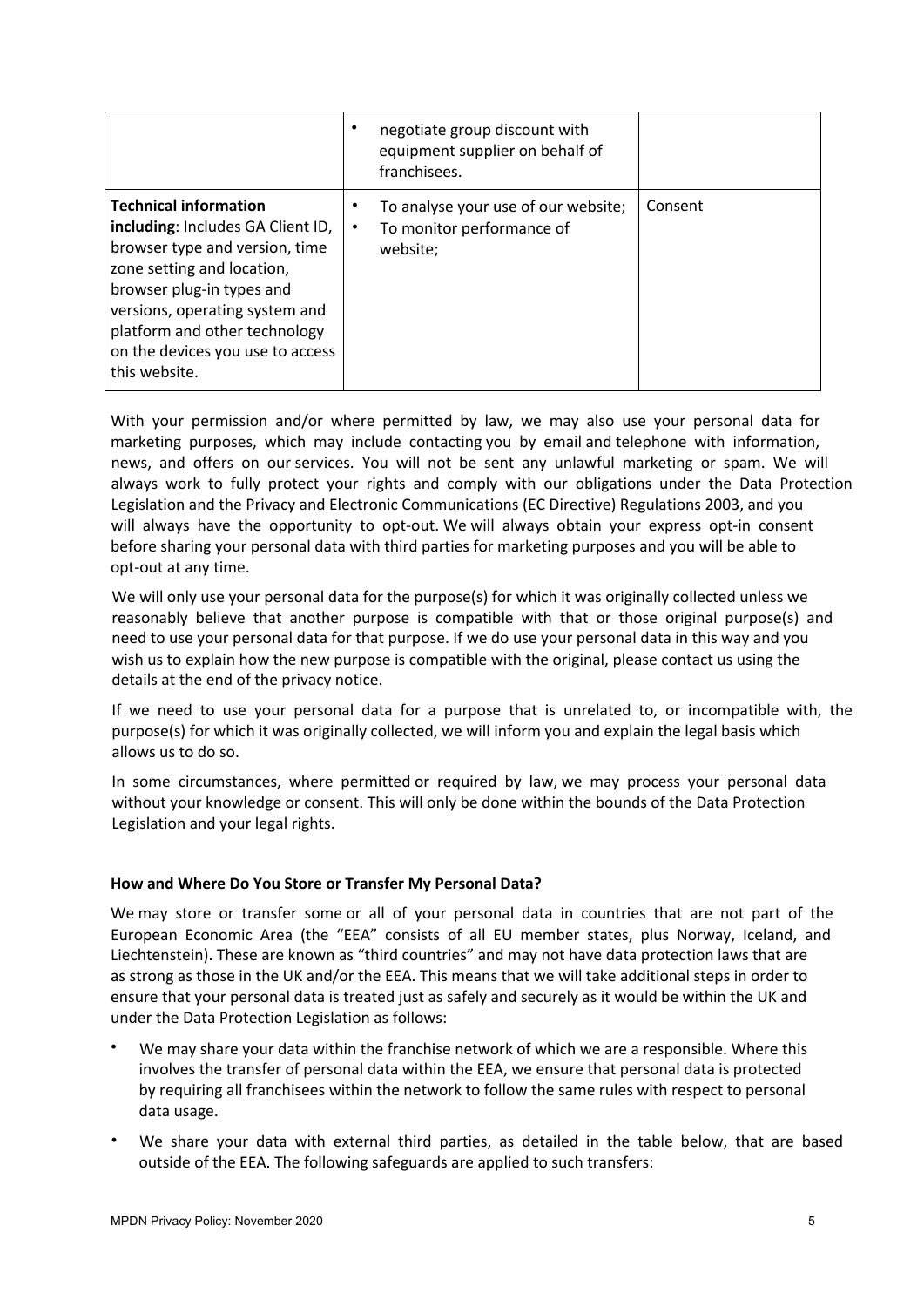|                                                                                                                                                                                                                                                                                        | negotiate group discount with<br>equipment supplier on behalf of<br>franchisees.  |         |
|----------------------------------------------------------------------------------------------------------------------------------------------------------------------------------------------------------------------------------------------------------------------------------------|-----------------------------------------------------------------------------------|---------|
| <b>Technical information</b><br>including: Includes GA Client ID,<br>browser type and version, time<br>zone setting and location,<br>browser plug-in types and<br>versions, operating system and<br>platform and other technology<br>on the devices you use to access<br>this website. | To analyse your use of our website;<br>To monitor performance of<br>٠<br>website; | Consent |

With your permission and/or where permitted by law, we may also use your personal data for marketing purposes, which may include contacting you by email and telephone with information, news, and offers on our services. You will not be sent any unlawful marketing or spam. We will always work to fully protect your rights and comply with our obligations under the Data Protection Legislation and the Privacy and Electronic Communications (EC Directive) Regulations 2003, and you will always have the opportunity to opt-out. We will always obtain your express opt-in consent before sharing your personal data with third parties for marketing purposes and you will be able to opt-out at any time.

We will only use your personal data for the purpose(s) for which it was originally collected unless we reasonably believe that another purpose is compatible with that or those original purpose(s) and need to use your personal data for that purpose. If we do use your personal data in this way and you wish us to explain how the new purpose is compatible with the original, please contact us using the details at the end of the privacy notice.

If we need to use your personal data for a purpose that is unrelated to, or incompatible with, the purpose(s) for which it was originally collected, we will inform you and explain the legal basis which allows us to do so.

In some circumstances, where permitted or required by law, we may process your personal data without your knowledge or consent. This will only be done within the bounds of the Data Protection Legislation and your legal rights.

# **How and Where Do You Store or Transfer My Personal Data?**

We may store or transfer some or all of your personal data in countries that are not part of the European Economic Area (the "EEA" consists of all EU member states, plus Norway, Iceland, and Liechtenstein). These are known as "third countries" and may not have data protection laws that are as strong as those in the UK and/or the EEA. This means that we will take additional steps in order to ensure that your personal data is treated just as safely and securely as it would be within the UK and under the Data Protection Legislation as follows:

- We may share your data within the franchise network of which we are a responsible. Where this involves the transfer of personal data within the EEA, we ensure that personal data is protected by requiring all franchisees within the network to follow the same rules with respect to personal data usage.
- We share your data with external third parties, as detailed in the table below, that are based outside of the EEA. The following safeguards are applied to such transfers: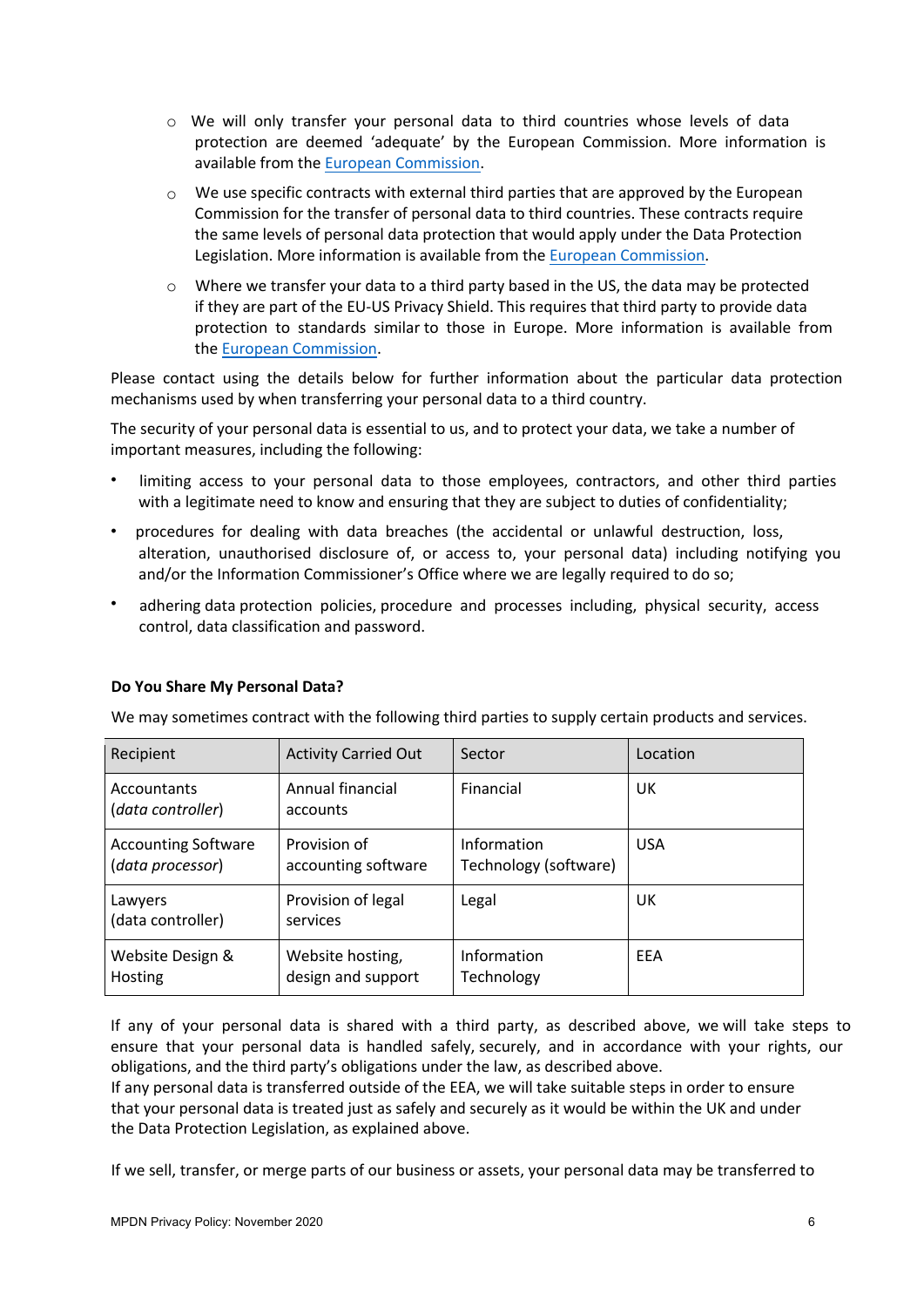- o Wewill only transfer your personal data to third countries whose levels of data protection are deemed 'adequate' by the European Commission. More information is available from the European Commission.
- o We use specific contracts with external third parties that are approved by the European Commission for the transfer of personal data to third countries. These contracts require the same levels of personal data protection that would apply under the Data Protection Legislation. More information is available from the European Commission.
- $\circ$  Where we transfer your data to a third party based in the US, the data may be protected if they are part of the EU-US Privacy Shield. This requires that third party to provide data protection to standards similar to those in Europe. More information is available from the European Commission.

Please contact using the details below for further information about the particular data protection mechanisms used by when transferring your personal data to a third country.

The security of your personal data is essential to us, and to protect your data, we take a number of important measures, including the following:

- limiting access to your personal data to those employees, contractors, and other third parties with a legitimate need to know and ensuring that they are subject to duties of confidentiality;
- procedures for dealing with data breaches (the accidental or unlawful destruction, loss, alteration, unauthorised disclosure of, or access to, your personal data) including notifying you and/or the Information Commissioner's Office where we are legally required to do so;
- adhering data protection policies, procedure and processes including, physical security, access control, data classification and password.

# **Do You Share My Personal Data?**

We may sometimes contract with the following third parties to supply certain products and services.

| Recipient                                      | <b>Activity Carried Out</b>            | Sector                               | Location   |
|------------------------------------------------|----------------------------------------|--------------------------------------|------------|
| Accountants<br>(data controller)               | Annual financial<br>accounts           | Financial                            | UK         |
| <b>Accounting Software</b><br>(data processor) | Provision of<br>accounting software    | Information<br>Technology (software) | <b>USA</b> |
| Lawyers<br>(data controller)                   | Provision of legal<br>services         | Legal                                | UK         |
| Website Design &<br>Hosting                    | Website hosting,<br>design and support | Information<br>Technology            | EEA        |

If any of your personal data is shared with a third party, as described above, we will take steps to ensure that your personal data is handled safely, securely, and in accordance with your rights, our obligations, and the third party's obligations under the law, as described above.

If any personal data is transferred outside of the EEA, we will take suitable steps in order to ensure that your personal data is treated just as safely and securely as it would be within the UK and under the Data Protection Legislation, as explained above.

If we sell, transfer, or merge parts of our business or assets, your personal data may be transferred to